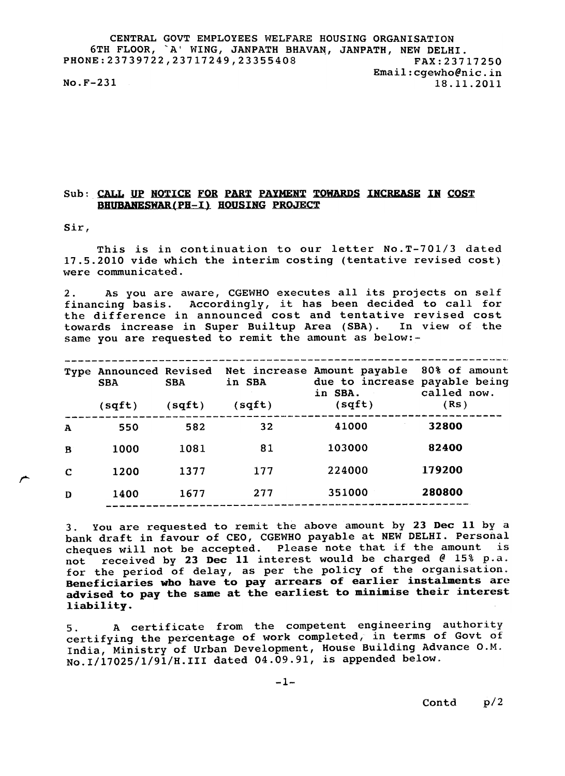CENTRAL GOVT EMPLOYEES WELFARE HOUSING ORGANISATION 6TH FLOOR, `A' WING, JANPATH BHAVAN, JANPATH, NEW DELHI. PHONE:23739722,23717249,23355408 FAX:23717250 Emai1:cgewho@nic.in  $No.F-231$ 

## Sub: CALL UP NOTICE FOR PART PAYMENT TOWARDS INCREASE IN COST BHUBANESWAR(PH-I) HOUSING PROJECT

Sir,

r--

This is in continuation to our letter No.T-701/3 dated 17.5.2010 vide which the interim costing (tentative revised cost) were communicated.

2. As you are aware, CGEWHO executes all its projects on self financing basis. Accordingly, it has been decided to call fo the difference in announced cost and tentative revised cos towards increase in Super Builtup Area (SBA). In view of the same you are requested to remit the amount as below:-

| <b>SBA</b><br>(sqft) | <b>SBA</b><br>(sqft) | in SBA<br>(sqft)       | due to increase payable being<br>in SBA.<br>(sqft) | 80% of amount<br>called now.<br>(Rs) |
|----------------------|----------------------|------------------------|----------------------------------------------------|--------------------------------------|
| 550                  | 582                  | 32                     | 41000                                              | 32800                                |
| 1000                 | 1081                 | 81                     | 103000                                             | 82400                                |
| 1200                 | 1377                 | 177                    | 224000                                             | 179200                               |
| 1400                 | 1677                 | 277                    | 351000                                             | 280800                               |
|                      |                      | Type Announced Revised |                                                    | Net increase Amount payable          |

3. You are requested to remit the above amount by 23 Dec 11 by a bank draft in favour of CEO, CGEWHO payable at NEW DELHI. Personal cheques will not be accepted. Please note that if the amount is not received by 23 Dec 11 interest would be charged  $@$  15% p.a. for the period of delay, as per the policy of the organisation. Beneficiaries who have to pay arrears of earlier instalments are advised to pay the same at the earliest to minimise their interest liability.

5. A certificate from the competent engineering authority certifying the percentage of work completed, in terms of Govt of India, Ministry of Urban Development, House Building Advance O.M. No.I/17025/1/91/H.III dated 04.09.91, is appended below.